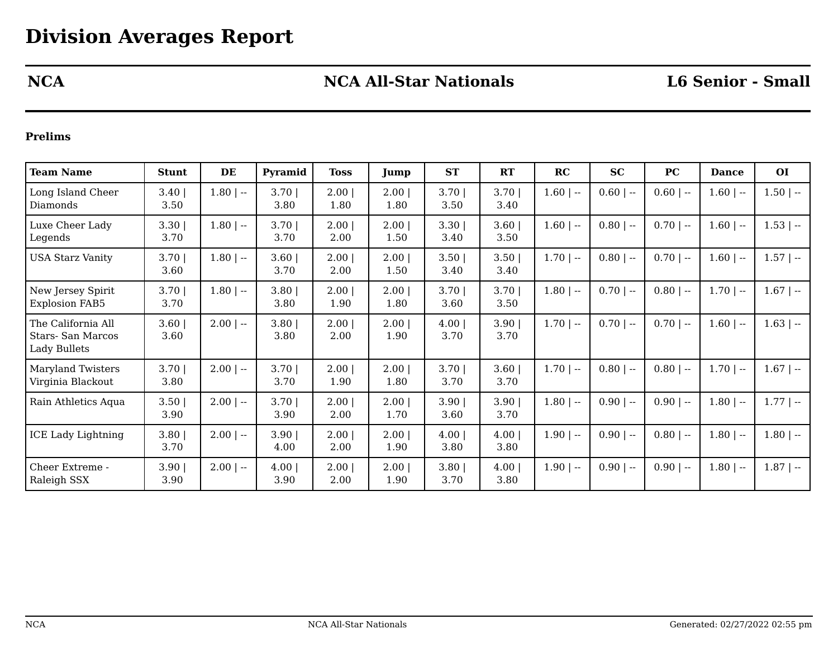# **NCA NCA All-Star Nationals L6 Senior - Small**

### **Prelims**

| <b>Team Name</b>                                                     | <b>Stunt</b> | DE           | Pyramid          | <b>Toss</b>  | Jump         | <b>ST</b>        | RT           | RC           | SC          | PC          | <b>Dance</b> | <b>OI</b>    |
|----------------------------------------------------------------------|--------------|--------------|------------------|--------------|--------------|------------------|--------------|--------------|-------------|-------------|--------------|--------------|
| Long Island Cheer<br>Diamonds                                        | 3.40<br>3.50 | $1.80$   $-$ | $3.70$  <br>3.80 | 2.00<br>1.80 | 2.00<br>1.80 | $3.70$  <br>3.50 | 3.70<br>3.40 | $1.60$   $-$ | $0.60$   -- | $0.60$   -- | $1.60$   --  | $1.50$   $-$ |
| Luxe Cheer Lady<br>Legends                                           | 3.30<br>3.70 | $1.80$   --  | $3.70$  <br>3.70 | 2.00<br>2.00 | 2.00<br>1.50 | $3.30$  <br>3.40 | 3.60<br>3.50 | $1.60$   $-$ | $0.80$   -- | $0.70$   -- | $1.60$   --  | $1.53$   $-$ |
| <b>USA Starz Vanity</b>                                              | 3.70<br>3.60 | $1.80$   $-$ | $3.60$  <br>3.70 | 2.00<br>2.00 | 2.00<br>1.50 | $3.50$  <br>3.40 | 3.50<br>3.40 | $1.70$   --  | $0.80$   -- | $0.70$   -- | $1.60$   --  | $1.57$   $-$ |
| New Jersey Spirit<br><b>Explosion FAB5</b>                           | 3.70<br>3.70 | $1.80$   $-$ | $3.80$  <br>3.80 | 2.00<br>1.90 | 2.00<br>1.80 | $3.70$  <br>3.60 | 3.70<br>3.50 | $1.80$   --  | $0.70$   -- | $0.80$   -- | $1.70$   $-$ | $1.67$   --  |
| The California All<br><b>Stars-San Marcos</b><br><b>Lady Bullets</b> | 3.60<br>3.60 | $2.00$   --  | 3.80<br>3.80     | 2.00<br>2.00 | 2.00<br>1.90 | 4.00 <br>3.70    | 3.90<br>3.70 | $1.70$   $-$ | $0.70$   -- | $0.70$   -- | $1.60$   --  | $1.63$   $-$ |
| <b>Maryland Twisters</b><br>Virginia Blackout                        | 3.70<br>3.80 | $2.00$   --  | $3.70$  <br>3.70 | 2.00<br>1.90 | 2.00<br>1.80 | $3.70$  <br>3.70 | 3.60<br>3.70 | $1.70$   --  | $0.80$   -- | $0.80$   -- | $1.70$   --  | $1.67$   --  |
| Rain Athletics Aqua                                                  | 3.50<br>3.90 | $2.00$   --  | $3.70$  <br>3.90 | 2.00<br>2.00 | 2.00<br>1.70 | $3.90$  <br>3.60 | 3.90<br>3.70 | $1.80$   $-$ | $0.90$   -- | $0.90$   -- | $1.80$   --  | $1.77$   $-$ |
| <b>ICE Lady Lightning</b>                                            | 3.80<br>3.70 | $2.00$   --  | 3.90<br>4.00     | 2.00<br>2.00 | 2.00<br>1.90 | 4.00 <br>3.80    | 4.00<br>3.80 | $1.90$   --  | $0.90$   -- | $0.80$   -- | $1.80$   --  | $1.80$   --  |
| Cheer Extreme -<br>Raleigh SSX                                       | 3.90<br>3.90 | $2.00$   --  | 4.00 <br>3.90    | 2.00<br>2.00 | 2.00<br>1.90 | $3.80$  <br>3.70 | 4.00<br>3.80 | $1.90$   $-$ | $0.90$   -- | $0.90$   -- | $1.80$   --  | $1.87$   --  |